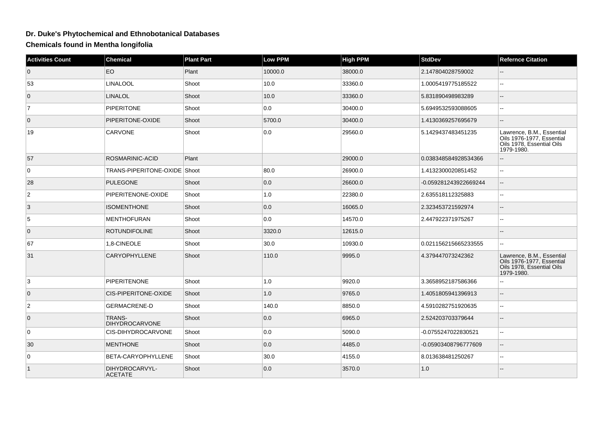## **Dr. Duke's Phytochemical and Ethnobotanical Databases**

**Chemicals found in Mentha longifolia**

| <b>Activities Count</b> | <b>Chemical</b>                        | <b>Plant Part</b> | Low PPM | <b>High PPM</b> | <b>StdDev</b>         | <b>Refernce Citation</b>                                                                          |
|-------------------------|----------------------------------------|-------------------|---------|-----------------|-----------------------|---------------------------------------------------------------------------------------------------|
| $\overline{0}$          | EO                                     | Plant             | 10000.0 | 38000.0         | 2.147804028759002     |                                                                                                   |
| 53                      | <b>LINALOOL</b>                        | Shoot             | 10.0    | 33360.0         | 1.0005419775185522    |                                                                                                   |
| $\overline{0}$          | <b>LINALOL</b>                         | Shoot             | 10.0    | 33360.0         | 5.831890498983289     | $\qquad \qquad -$                                                                                 |
| $\overline{7}$          | <b>PIPERITONE</b>                      | Shoot             | 0.0     | 30400.0         | 5.6949532593088605    | ۵.                                                                                                |
| $\overline{0}$          | PIPERITONE-OXIDE                       | Shoot             | 5700.0  | 30400.0         | 1.4130369257695679    |                                                                                                   |
| 19                      | <b>CARVONE</b>                         | Shoot             | 0.0     | 29560.0         | 5.1429437483451235    | Lawrence, B.M., Essential<br>Oils 1976-1977, Essential<br>Oils 1978, Essential Oils<br>1979-1980. |
| 57                      | ROSMARINIC-ACID                        | Plant             |         | 29000.0         | 0.038348584928534366  |                                                                                                   |
| $\overline{0}$          | TRANS-PIPERITONE-OXIDE Shoot           |                   | 80.0    | 26900.0         | 1.4132300020851452    | $\overline{a}$                                                                                    |
| 28                      | <b>PULEGONE</b>                        | Shoot             | 0.0     | 26600.0         | -0.059281243922669244 | $\qquad \qquad -$                                                                                 |
| $\overline{2}$          | PIPERITENONE-OXIDE                     | Shoot             | 1.0     | 22380.0         | 2.635518112325883     | $\sim$                                                                                            |
| 3                       | <b>ISOMENTHONE</b>                     | Shoot             | 0.0     | 16065.0         | 2.323453721592974     |                                                                                                   |
| $\overline{5}$          | <b>MENTHOFURAN</b>                     | Shoot             | 0.0     | 14570.0         | 2.447922371975267     |                                                                                                   |
| $\overline{0}$          | <b>ROTUNDIFOLINE</b>                   | Shoot             | 3320.0  | 12615.0         |                       |                                                                                                   |
| 67                      | 1,8-CINEOLE                            | Shoot             | 30.0    | 10930.0         | 0.021156215665233555  | ۵.                                                                                                |
| 31                      | <b>CARYOPHYLLENE</b>                   | Shoot             | 110.0   | 9995.0          | 4.379447073242362     | Lawrence, B.M., Essential<br>Oils 1976-1977, Essential<br>Oils 1978, Essential Oils<br>1979-1980. |
| 3                       | <b>PIPERITENONE</b>                    | Shoot             | 1.0     | 9920.0          | 3.3658952187586366    |                                                                                                   |
| $\overline{0}$          | <b>CIS-PIPERITONE-OXIDE</b>            | Shoot             | 1.0     | 9765.0          | 1.4051805941396913    |                                                                                                   |
| $\overline{2}$          | <b>GERMACRENE-D</b>                    | Shoot             | 140.0   | 8850.0          | 4.5910282751920635    | --                                                                                                |
| $\overline{0}$          | <b>TRANS-</b><br><b>DIHYDROCARVONE</b> | Shoot             | 0.0     | 6965.0          | 2.524203703379644     | $\qquad \qquad -$                                                                                 |
| $\overline{0}$          | <b>CIS-DIHYDROCARVONE</b>              | Shoot             | 0.0     | 5090.0          | -0.0755247022830521   | ۵.                                                                                                |
| 30                      | <b>MENTHONE</b>                        | Shoot             | 0.0     | 4485.0          | -0.05903408796777609  | --                                                                                                |
| $\overline{0}$          | BETA-CARYOPHYLLENE                     | Shoot             | 30.0    | 4155.0          | 8.013638481250267     | ۵.                                                                                                |
| $\vert$ 1               | DIHYDROCARVYL-<br><b>ACETATE</b>       | Shoot             | 0.0     | 3570.0          | 1.0                   |                                                                                                   |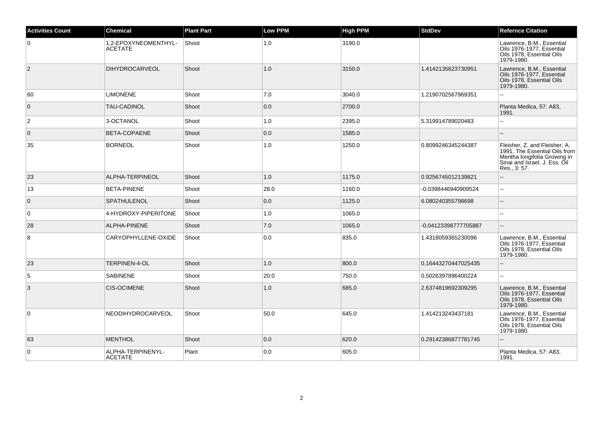| <b>Activities Count</b> | <b>Chemical</b>                        | <b>Plant Part</b> | <b>Low PPM</b> | <b>High PPM</b> | <b>StdDev</b>        | <b>Refernce Citation</b>                                                                                                                       |
|-------------------------|----------------------------------------|-------------------|----------------|-----------------|----------------------|------------------------------------------------------------------------------------------------------------------------------------------------|
| 0                       | 1,2-EPOXYNEOMENTHYL-<br><b>ACETATE</b> | Shoot             | 1.0            | 3190.0          |                      | Lawrence, B.M., Essential<br>Oils 1976-1977, Essential<br>Oils 1978, Essential Oils<br>1979-1980.                                              |
| $\overline{2}$          | <b>DIHYDROCARVEOL</b>                  | Shoot             | 1.0            | 3150.0          | 1.4142135623730951   | Lawrence, B.M., Essential<br>Oils 1976-1977, Essential<br>Oils 1978, Essential Oils<br>1979-1980.                                              |
| 60                      | <b>LIMONENE</b>                        | Shoot             | 7.0            | 3040.0          | 1.2190702567969351   |                                                                                                                                                |
| $\overline{0}$          | TAU-CADINOL                            | Shoot             | 0.0            | 2700.0          |                      | Planta Medica, 57: A83,<br>1991.                                                                                                               |
| $\overline{2}$          | 3-OCTANOL                              | Shoot             | 1.0            | 2395.0          | 5.319914789020483    | $\sim$ $\sim$                                                                                                                                  |
| $\overline{0}$          | BETA-COPAENE                           | Shoot             | 0.0            | 1585.0          |                      |                                                                                                                                                |
| 35                      | <b>BORNEOL</b>                         | Shoot             | 1.0            | 1250.0          | 0.8099246345244387   | Fleisher, Z. and Fleisher, A.<br>1991. The Essential Oils from<br>Mentha longifolia Growing in<br>Sinai and Israel. J. Ess. Oil<br>Res., 3:57. |
| 23                      | ALPHA-TERPINEOL                        | Shoot             | 1.0            | 1175.0          | 0.9256745012139821   | $\overline{\phantom{a}}$                                                                                                                       |
| 13                      | <b>BETA-PINENE</b>                     | Shoot             | 28.0           | 1160.0          | -0.0398446940909524  | $\mathbf{u}$                                                                                                                                   |
| $\overline{0}$          | <b>SPATHULENOL</b>                     | Shoot             | 0.0            | 1125.0          | 6.080240355798698    |                                                                                                                                                |
| $\mathbf 0$             | 4-HYDROXY-PIPERITONE                   | Shoot             | 1.0            | 1065.0          |                      |                                                                                                                                                |
| 28                      | <b>ALPHA-PINENE</b>                    | Shoot             | 7.0            | 1065.0          | -0.04123398777705887 | $\sim$                                                                                                                                         |
| 8                       | CARYOPHYLLENE-OXIDE                    | Shoot             | 0.0            | 835.0           | 1.4318059365230096   | Lawrence, B.M., Essential<br>Oils 1976-1977, Essential<br>Oils 1978, Essential Oils<br>1979-1980.                                              |
| 23                      | TERPINEN-4-OL                          | Shoot             | 1.0            | 800.0           | 0.16443270447025435  |                                                                                                                                                |
| 5                       | <b>SABINENE</b>                        | Shoot             | 20.0           | 750.0           | 0.5026397896400224   | $\ddotsc$                                                                                                                                      |
| 3                       | <b>CIS-OCIMENE</b>                     | Shoot             | 1.0            | 685.0           | 2.6374819692309295   | Lawrence, B.M., Essential<br>Oils 1976-1977, Essential<br>Oils 1978, Essential Oils<br>1979-1980.                                              |
| $\mathbf 0$             | NEODIHYDROCARVEOL                      | Shoot             | 50.0           | 645.0           | 1.414213243437181    | Lawrence, B.M., Essential<br>Oils 1976-1977. Essential<br>Oils 1978, Essential Oils<br>1979-1980.                                              |
| 63                      | <b>MENTHOL</b>                         | Shoot             | 0.0            | 620.0           | 0.29142386877781745  |                                                                                                                                                |
| 0                       | ALPHA-TERPINENYL-<br><b>ACETATE</b>    | Plant             | 0.0            | 605.0           |                      | Planta Medica, 57: A83,<br>1991.                                                                                                               |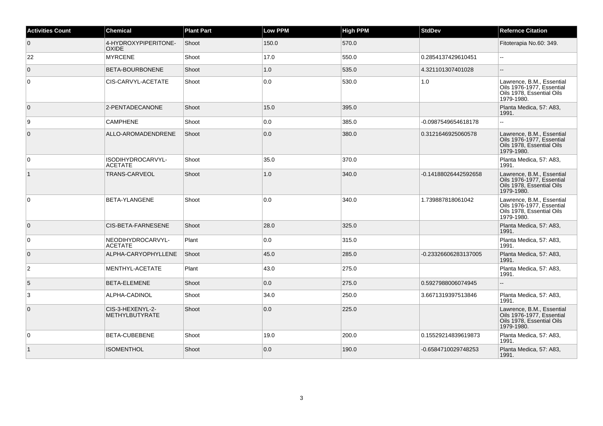| <b>Activities Count</b> | <b>Chemical</b>                      | <b>Plant Part</b> | <b>Low PPM</b> | <b>High PPM</b> | <b>StdDev</b>        | <b>Refernce Citation</b>                                                                          |
|-------------------------|--------------------------------------|-------------------|----------------|-----------------|----------------------|---------------------------------------------------------------------------------------------------|
| $\overline{0}$          | 4-HYDROXYPIPERITONE-<br><b>OXIDE</b> | Shoot             | 150.0          | 570.0           |                      | Fitoterapia No.60: 349.                                                                           |
| 22                      | <b>MYRCENE</b>                       | Shoot             | 17.0           | 550.0           | 0.2854137429610451   |                                                                                                   |
| $\overline{0}$          | BETA-BOURBONENE                      | Shoot             | 1.0            | 535.0           | 4.321101307401028    |                                                                                                   |
| $\overline{0}$          | CIS-CARVYL-ACETATE                   | Shoot             | 0.0            | 530.0           | 1.0                  | Lawrence, B.M., Essential<br>Oils 1976-1977, Essential<br>Oils 1978, Essential Oils<br>1979-1980. |
| $\overline{0}$          | 2-PENTADECANONE                      | Shoot             | 15.0           | 395.0           |                      | Planta Medica, 57: A83,<br>1991.                                                                  |
| 9                       | <b>CAMPHENE</b>                      | Shoot             | 0.0            | 385.0           | -0.0987549654618178  |                                                                                                   |
| $\overline{0}$          | ALLO-AROMADENDRENE                   | Shoot             | 0.0            | 380.0           | 0.3121646925060578   | Lawrence, B.M., Essential<br>Oils 1976-1977, Essential<br>Oils 1978, Essential Oils<br>1979-1980. |
| $\overline{0}$          | ISODIHYDROCARVYL-<br><b>ACETATE</b>  | Shoot             | 35.0           | 370.0           |                      | Planta Medica, 57: A83,<br>1991.                                                                  |
| $\overline{1}$          | TRANS-CARVEOL                        | Shoot             | 1.0            | 340.0           | -0.14188026442592658 | Lawrence, B.M., Essential<br>Oils 1976-1977, Essential<br>Oils 1978. Essential Oils<br>1979-1980. |
| $\overline{0}$          | BETA-YLANGENE                        | Shoot             | 0.0            | 340.0           | 1.739887818061042    | Lawrence, B.M., Essential<br>Oils 1976-1977, Essential<br>Oils 1978. Essential Oils<br>1979-1980. |
| $\overline{0}$          | CIS-BETA-FARNESENE                   | Shoot             | 28.0           | 325.0           |                      | Planta Medica, 57: A83,<br>1991.                                                                  |
| $\overline{0}$          | NEODIHYDROCARVYL-<br><b>ACETATE</b>  | Plant             | 0.0            | 315.0           |                      | Planta Medica, 57: A83,<br>1991.                                                                  |
| $\overline{0}$          | ALPHA-CARYOPHYLLENE                  | Shoot             | 45.0           | 285.0           | -0.23326606283137005 | Planta Medica, 57: A83,<br>1991.                                                                  |
| $\overline{2}$          | MENTHYL-ACETATE                      | Plant             | 43.0           | 275.0           |                      | Planta Medica, 57: A83,<br>1991.                                                                  |
| 5                       | BETA-ELEMENE                         | Shoot             | 0.0            | 275.0           | 0.5927988006074945   |                                                                                                   |
| 3                       | ALPHA-CADINOL                        | Shoot             | 34.0           | 250.0           | 3.6671319397513846   | Planta Medica, 57: A83,<br>1991.                                                                  |
| $\overline{0}$          | CIS-3-HEXENYL-2-<br>METHYLBUTYRATE   | Shoot             | 0.0            | 225.0           |                      | Lawrence, B.M., Essential<br>Oils 1976-1977, Essential<br>Oils 1978, Essential Oils<br>1979-1980. |
| $\overline{0}$          | BETA-CUBEBENE                        | Shoot             | 19.0           | 200.0           | 0.15529214839619873  | Planta Medica, 57: A83,<br>1991.                                                                  |
| $\overline{1}$          | <b>ISOMENTHOL</b>                    | Shoot             | 0.0            | 190.0           | -0.6584710029748253  | Planta Medica, 57: A83,<br>1991.                                                                  |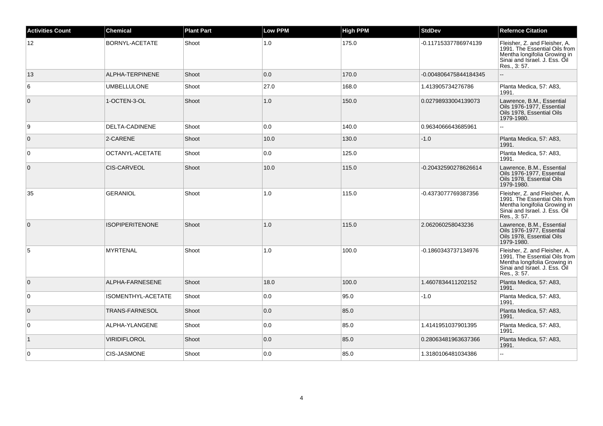| <b>Activities Count</b> | <b>Chemical</b>        | <b>Plant Part</b> | <b>Low PPM</b> | <b>High PPM</b> | <b>StdDev</b>         | <b>Refernce Citation</b>                                                                                                                       |
|-------------------------|------------------------|-------------------|----------------|-----------------|-----------------------|------------------------------------------------------------------------------------------------------------------------------------------------|
| 12                      | BORNYL-ACETATE         | Shoot             | 1.0            | 175.0           | -0.11715337786974139  | Fleisher, Z. and Fleisher, A.<br>1991. The Essential Oils from<br>Mentha longifolia Growing in<br>Sinai and Israel. J. Ess. Oil<br>Res., 3:57. |
| 13                      | ALPHA-TERPINENE        | Shoot             | 0.0            | 170.0           | -0.004806475844184345 |                                                                                                                                                |
| 6                       | <b>UMBELLULONE</b>     | Shoot             | 27.0           | 168.0           | 1.413905734276786     | Planta Medica, 57: A83,<br>1991.                                                                                                               |
| $\mathbf{0}$            | 1-OCTEN-3-OL           | Shoot             | 1.0            | 150.0           | 0.02798933004139073   | Lawrence, B.M., Essential<br>Oils 1976-1977, Essential<br>Oils 1978, Essential Oils<br>1979-1980.                                              |
| 9                       | DELTA-CADINENE         | Shoot             | 0.0            | 140.0           | 0.9634066643685961    |                                                                                                                                                |
| $\mathbf{0}$            | 2-CARENE               | Shoot             | 10.0           | 130.0           | $-1.0$                | Planta Medica, 57: A83,<br>1991.                                                                                                               |
| $\mathbf 0$             | OCTANYL-ACETATE        | Shoot             | 0.0            | 125.0           |                       | Planta Medica, 57: A83,<br>1991.                                                                                                               |
| $\mathbf 0$             | <b>CIS-CARVEOL</b>     | Shoot             | 10.0           | 115.0           | -0.20432590278626614  | Lawrence, B.M., Essential<br>Oils 1976-1977, Essential<br>Oils 1978, Essential Oils<br>1979-1980.                                              |
| 35                      | <b>GERANIOL</b>        | Shoot             | 1.0            | 115.0           | -0.4373077769387356   | Fleisher, Z. and Fleisher, A.<br>1991. The Essential Oils from<br>Mentha longifolia Growing in<br>Sinai and Israel. J. Ess. Oil<br>Res., 3:57. |
| $\Omega$                | <b>ISOPIPERITENONE</b> | Shoot             | 1.0            | 115.0           | 2.062060258043236     | Lawrence, B.M., Essential<br>Oils 1976-1977, Essential<br>Oils 1978, Essential Oils<br>1979-1980.                                              |
| 5                       | <b>MYRTENAL</b>        | Shoot             | 1.0            | 100.0           | -0.1860343737134976   | Fleisher, Z. and Fleisher, A.<br>1991. The Essential Oils from<br>Mentha longifolia Growing in<br>Sinai and Israel. J. Ess. Oil<br>Res., 3:57. |
| $\mathbf{0}$            | ALPHA-FARNESENE        | Shoot             | 18.0           | 100.0           | 1.4607834411202152    | Planta Medica, 57: A83,<br>1991.                                                                                                               |
| $\mathbf 0$             | ISOMENTHYL-ACETATE     | Shoot             | 0.0            | 95.0            | $-1.0$                | Planta Medica, 57: A83,<br>1991.                                                                                                               |
| $\mathbf{0}$            | <b>TRANS-FARNESOL</b>  | Shoot             | 0.0            | 85.0            |                       | Planta Medica, 57: A83,<br>1991.                                                                                                               |
| 0                       | ALPHA-YLANGENE         | Shoot             | 0.0            | 85.0            | 1.4141951037901395    | Planta Medica, 57: A83,<br>1991.                                                                                                               |
| $\vert$ 1               | <b>VIRIDIFLOROL</b>    | Shoot             | 0.0            | 85.0            | 0.28063481963637366   | Planta Medica, 57: A83,<br>1991.                                                                                                               |
| 0                       | CIS-JASMONE            | Shoot             | 0.0            | 85.0            | 1.3180106481034386    | $\overline{a}$                                                                                                                                 |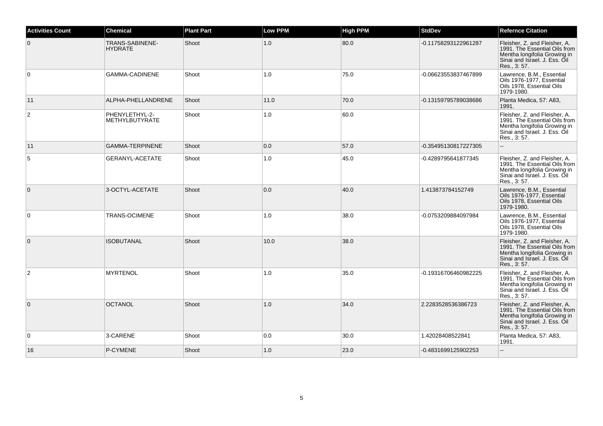| <b>Activities Count</b> | <b>Chemical</b>                          | <b>Plant Part</b> | <b>Low PPM</b> | <b>High PPM</b> | <b>StdDev</b>        | <b>Refernce Citation</b>                                                                                                                               |
|-------------------------|------------------------------------------|-------------------|----------------|-----------------|----------------------|--------------------------------------------------------------------------------------------------------------------------------------------------------|
| $\overline{0}$          | <b>TRANS-SABINENE-</b><br><b>HYDRATE</b> | Shoot             | 1.0            | 80.0            | -0.11758293122961287 | Fleisher, Z. and Fleisher, A.<br>1991. The Essential Oils from<br>Mentha longifolia Growing in<br>Sinai and Israel. J. Ess. Oil<br>Res., 3:57.         |
| $\overline{0}$          | GAMMA-CADINENE                           | Shoot             | 1.0            | 75.0            | -0.06623553837467899 | Lawrence, B.M., Essential<br>Oils 1976-1977. Essential<br>Oils 1978, Essential Oils<br>1979-1980.                                                      |
| 11                      | ALPHA-PHELLANDRENE                       | Shoot             | 11.0           | 70.0            | -0.13159795789038686 | Planta Medica, 57: A83,<br>1991.                                                                                                                       |
| $\overline{2}$          | PHENYLETHYL-2-<br>METHYLBUTYRATE         | Shoot             | 1.0            | 60.0            |                      | Fleisher, Z. and Fleisher, A.<br>1991. The Essential Oils from<br>Mentha longifolia Growing in<br>Sinai and Israel, J. Ess. Oil<br>Res., 3:57.         |
| 11                      | <b>GAMMA-TERPINENE</b>                   | Shoot             | 0.0            | 57.0            | -0.35495130817227305 | $\sim$                                                                                                                                                 |
| 5                       | GERANYL-ACETATE                          | Shoot             | 1.0            | 45.0            | -0.4289795641877345  | Fleisher, Z. and Fleisher, A.<br>1991. The Essential Oils from<br>Mentha longifolia Growing in<br>$\vert$ Sinai and Israel. J. Ess. Õil<br>Res., 3:57. |
| $\overline{0}$          | 3-OCTYL-ACETATE                          | Shoot             | 0.0            | 40.0            | 1.413873784152749    | Lawrence, B.M., Essential<br>Oils 1976-1977. Essential<br>Oils 1978, Essential Oils<br>1979-1980.                                                      |
| $\overline{0}$          | <b>TRANS-OCIMENE</b>                     | Shoot             | 1.0            | 38.0            | -0.0753209884097984  | Lawrence, B.M., Essential<br>Oils 1976-1977, Essential<br>Oils 1978, Essential Oils<br>1979-1980.                                                      |
| $\overline{0}$          | <b>ISOBUTANAL</b>                        | Shoot             | 10.0           | 38.0            |                      | Fleisher, Z. and Fleisher, A.<br>1991. The Essential Oils from<br>Mentha longifolia Growing in<br>Sinai and Israel. J. Ess. Oil<br>Res., 3:57.         |
| 2                       | <b>MYRTENOL</b>                          | Shoot             | 1.0            | 35.0            | -0.19316706460982225 | Fleisher, Z. and Fleisher, A.<br>1991. The Essential Oils from<br>Mentha longifolia Growing in<br>Sinai and Israel. J. Ess. Oil<br>Res., 3: 57.        |
| $\overline{0}$          | <b>OCTANOL</b>                           | Shoot             | 1.0            | 34.0            | 2.2283528536386723   | Fleisher, Z. and Fleisher, A.<br>1991. The Essential Oils from<br>Mentha longifolia Growing in<br>Sinai and Israel. J. Ess. Oil<br>Res., 3:57.         |
| $\overline{0}$          | 3-CARENE                                 | Shoot             | 0.0            | 30.0            | 1.42028408522841     | Planta Medica, 57: A83,<br>1991.                                                                                                                       |
| 16                      | P-CYMENE                                 | Shoot             | 1.0            | 23.0            | -0.4831699125902253  |                                                                                                                                                        |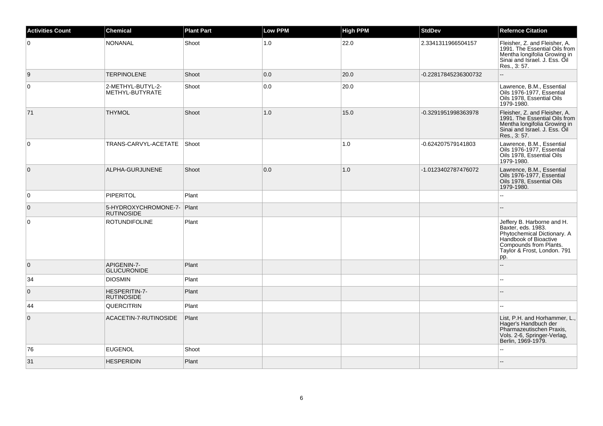| <b>Activities Count</b> | <b>Chemical</b>                                 | <b>Plant Part</b> | Low PPM | <b>High PPM</b> | <b>StdDev</b>        | <b>Refernce Citation</b>                                                                                                                                                 |
|-------------------------|-------------------------------------------------|-------------------|---------|-----------------|----------------------|--------------------------------------------------------------------------------------------------------------------------------------------------------------------------|
| $\overline{0}$          | <b>NONANAL</b>                                  | Shoot             | 1.0     | 22.0            | 2.3341311966504157   | Fleisher, Z. and Fleisher, A.<br>1991. The Essential Oils from<br>Mentha longifolia Growing in<br>Sinai and Israel. J. Ess. Oil<br>Res., 3:57.                           |
| 9                       | <b>TERPINOLENE</b>                              | Shoot             | 0.0     | 20.0            | -0.22817845236300732 | Ξ.                                                                                                                                                                       |
| $\overline{0}$          | 2-METHYL-BUTYL-2-<br>METHYL-BUTYRATE            | Shoot             | 0.0     | 20.0            |                      | Lawrence, B.M., Essential<br>Oils 1976-1977, Essential<br>Oils 1978, Essential Oils<br>1979-1980.                                                                        |
| 71                      | <b>THYMOL</b>                                   | Shoot             | 1.0     | 15.0            | -0.3291951998363978  | Fleisher, Z. and Fleisher, A.<br>1991. The Essential Oils from<br>Mentha longifolia Growing in<br>Sinai and Israel. J. Ess. Oil<br>Res., 3:57.                           |
| $\overline{0}$          | TRANS-CARVYL-ACETATE                            | Shoot             |         | 1.0             | -0.624207579141803   | Lawrence, B.M., Essential<br>Oils 1976-1977, Essential<br>Oils 1978, Essential Oils<br>1979-1980.                                                                        |
| $\overline{0}$          | ALPHA-GURJUNENE                                 | Shoot             | 0.0     | 1.0             | -1.0123402787476072  | Lawrence, B.M., Essential<br>Oils 1976-1977, Essential<br>Oils 1978, Essential Oils<br>1979-1980.                                                                        |
| $\overline{0}$          | PIPERITOL                                       | Plant             |         |                 |                      |                                                                                                                                                                          |
| $\overline{0}$          | 5-HYDROXYCHROMONE-7- Plant<br><b>RUTINOSIDE</b> |                   |         |                 |                      |                                                                                                                                                                          |
| $\overline{0}$          | <b>ROTUNDIFOLINE</b>                            | Plant             |         |                 |                      | Jeffery B. Harborne and H.<br>Baxter, eds. 1983.<br>Phytochemical Dictionary. A<br>Handbook of Bioactive<br>Compounds from Plants.<br>Taylor & Frost, London. 791<br>pp. |
| $\overline{0}$          | APIGENIN-7-<br><b>GLUCURONIDE</b>               | Plant             |         |                 |                      | $\overline{a}$                                                                                                                                                           |
| 34                      | <b>DIOSMIN</b>                                  | Plant             |         |                 |                      | $-$                                                                                                                                                                      |
| $\overline{0}$          | HESPERITIN-7-<br><b>RUTINOSIDE</b>              | Plant             |         |                 |                      |                                                                                                                                                                          |
| 44                      | QUERCITRIN                                      | Plant             |         |                 |                      |                                                                                                                                                                          |
| $\overline{0}$          | ACACETIN-7-RUTINOSIDE                           | Plant             |         |                 |                      | List, P.H. and Horhammer, L.,<br>Hager's Handbuch der<br>Pharmazeutischen Praxis,<br>Vols. 2-6, Springer-Verlag,<br>Berlin, 1969-1979.                                   |
| 76                      | <b>EUGENOL</b>                                  | Shoot             |         |                 |                      |                                                                                                                                                                          |
| 31                      | <b>HESPERIDIN</b>                               | Plant             |         |                 |                      |                                                                                                                                                                          |